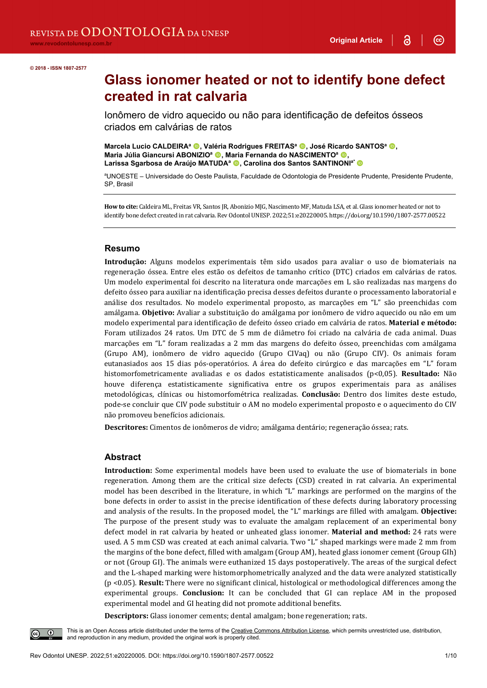**@** 

#### **© 2018 - ISSN 1807-2577**

# **Glass ionomer heated or not to identify bone defect created in rat calvaria**

Ionômero de vidro aquecido ou não para identificação de defeitos ósseos criados em calvárias de ratos

**Marcela Lucio CALDEIRA<sup>a</sup> . Valéria Rodrigues FREITAS<sup>a</sup> . José Ricardo SANTOS<sup>a</sup> . Maria Júlia Giancursi ABONIZIO<sup>a</sup> (0), Maria Fernanda do NASCIMENTO<sup>a</sup> (0)** Larissa Sgarbosa de Araújo MATUDA<sup>a</sup> . Carolina dos Santos SANTINONI<sup>a\*</sup> <sup>1</sup>

a UNOESTE – Universidade do Oeste Paulista, Faculdade de Odontologia de Presidente Prudente, Presidente Prudente, SP, Brasil

**How to cite:** Caldeira ML, Freitas VR, Santos JR, Abonizio MJG, Nascimento MF, Matuda LSA, et al. Glass ionomer heated or not to identify bone defect created in rat calvaria. Rev Odontol UNESP. 2022;51:e20220005. https://doi.org/10.1590/1807-2577.00522

#### **Resumo**

**Introdução:** Alguns modelos experimentais têm sido usados para avaliar o uso de biomateriais na regeneração óssea. Entre eles estão os defeitos de tamanho crítico (DTC) criados em calvárias de ratos. Um modelo experimental foi descrito na literatura onde marcações em L são realizadas nas margens do defeito ósseo para auxiliar na identificação precisa desses defeitos durante o processamento laboratorial e análise dos resultados. No modelo experimental proposto, as marcações em "L" são preenchidas com amálgama. **Objetivo:** Avaliar a substituição do amálgama por ionômero de vidro aquecido ou não em um modelo experimental para identificação de defeito ósseo criado em calvária de ratos. **Material e método:** Foram utilizados 24 ratos. Um DTC de 5 mm de diâmetro foi criado na calvária de cada animal. Duas marcações em "L" foram realizadas a 2 mm das margens do defeito ósseo, preenchidas com amálgama (Grupo AM), ionômero de vidro aquecido (Grupo CIVaq) ou não (Grupo CIV). Os animais foram eutanasiados aos 15 dias pós-operatórios. A área do defeito cirúrgico e das marcações em "L" foram histomorfometricamente avaliadas e os dados estatisticamente analisados (p<0,05). **Resultado:** Não houve diferença estatisticamente significativa entre os grupos experimentais para as análises metodológicas, clínicas ou histomorfométrica realizadas. **Conclusão:** Dentro dos limites deste estudo, pode-se concluir que CIV pode substituir o AM no modelo experimental proposto e o aquecimento do CIV não promoveu benefícios adicionais.

**Descritores:** Cimentos de ionômeros de vidro; amálgama dentário; regeneração óssea; rats.

#### **Abstract**

**Introduction:** Some experimental models have been used to evaluate the use of biomaterials in bone regeneration. Among them are the critical size defects (CSD) created in rat calvaria. An experimental model has been described in the literature, in which "L" markings are performed on the margins of the bone defects in order to assist in the precise identification of these defects during laboratory processing and analysis of the results. In the proposed model, the "L" markings are filled with amalgam. **Objective:** The purpose of the present study was to evaluate the amalgam replacement of an experimental bony defect model in rat calvaria by heated or unheated glass ionomer. **Material and method:** 24 rats were used. A 5 mm CSD was created at each animal calvaria. Two "L" shaped markings were made 2 mm from the margins of the bone defect, filled with amalgam (Group AM), heated glass ionomer cement (Group GIh) or not (Group GI). The animals were euthanized 15 days postoperatively. The areas of the surgical defect and the L-shaped marking were histomorphometrically analyzed and the data were analyzed statistically (p <0.05). **Result:** There were no significant clinical, histological or methodological differences among the experimental groups. **Conclusion:** It can be concluded that GI can replace AM in the proposed experimental model and GI heating did not promote additional benefits.

**Descriptors:** Glass ionomer cements; dental amalgam; bone regeneration; rats.

This is an Open Access article distributed under the terms of the Creative Commons Attribution License, which permits unrestricted use, distribution,  $\odot$ and reproduction in any medium, provided the original work is properly cited.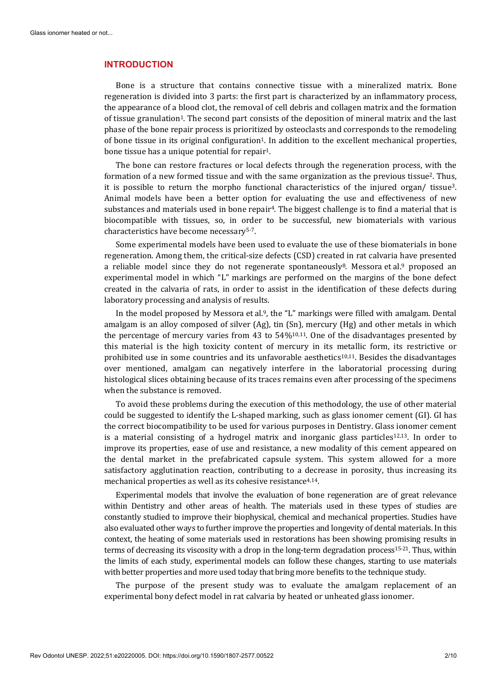#### **INTRODUCTION**

Bone is a structure that contains connective tissue with a mineralized matrix. Bone regeneration is divided into 3 parts: the first part is characterized by an inflammatory process, the appearance of a blood clot, the removal of cell debris and collagen matrix and the formation of tissue granulation<sup>1</sup>. The second part consists of the deposition of mineral matrix and the last phase of the bone repair process is prioritized by osteoclasts and corresponds to the remodeling of bone tissue in its original configuration1. In addition to the excellent mechanical properties, bone tissue has a unique potential for repair<sup>1</sup>.

The bone can restore fractures or local defects through the regeneration process, with the formation of a new formed tissue and with the same organization as the previous tissue2. Thus, it is possible to return the morpho functional characteristics of the injured organ/ tissue3. Animal models have been a better option for evaluating the use and effectiveness of new substances and materials used in bone repair<sup>4</sup>. The biggest challenge is to find a material that is biocompatible with tissues, so, in order to be successful, new biomaterials with various characteristics have become necessary5-7.

Some experimental models have been used to evaluate the use of these biomaterials in bone regeneration. Among them, the critical-size defects (CSD) created in rat calvaria have presented a reliable model since they do not regenerate spontaneously<sup>8</sup>. Messora et al.<sup>9</sup> proposed an experimental model in which "L" markings are performed on the margins of the bone defect created in the calvaria of rats, in order to assist in the identification of these defects during laboratory processing and analysis of results.

In the model proposed by Messora et al.9, the "L" markings were filled with amalgam. Dental amalgam is an alloy composed of silver (Ag), tin (Sn), mercury (Hg) and other metals in which the percentage of mercury varies from 43 to  $54\frac{10,11}{10}$ . One of the disadvantages presented by this material is the high toxicity content of mercury in its metallic form, its restrictive or prohibited use in some countries and its unfavorable aesthetics10,11. Besides the disadvantages over mentioned, amalgam can negatively interfere in the laboratorial processing during histological slices obtaining because of its traces remains even after processing of the specimens when the substance is removed.

To avoid these problems during the execution of this methodology, the use of other material could be suggested to identify the L-shaped marking, such as glass ionomer cement (GI). GI has the correct biocompatibility to be used for various purposes in Dentistry. Glass ionomer cement is a material consisting of a hydrogel matrix and inorganic glass particles<sup>12,13</sup>. In order to improve its properties, ease of use and resistance, a new modality of this cement appeared on the dental market in the prefabricated capsule system. This system allowed for a more satisfactory agglutination reaction, contributing to a decrease in porosity, thus increasing its mechanical properties as well as its cohesive resistance<sup>4,14</sup>.

Experimental models that involve the evaluation of bone regeneration are of great relevance within Dentistry and other areas of health. The materials used in these types of studies are constantly studied to improve their biophysical, chemical and mechanical properties. Studies have also evaluated other ways to further improve the properties and longevity of dental materials. In this context, the heating of some materials used in restorations has been showing promising results in terms of decreasing its viscosity with a drop in the long-term degradation process<sup>15-21</sup>. Thus, within the limits of each study, experimental models can follow these changes, starting to use materials with better properties and more used today that bring more benefits to the technique study.

The purpose of the present study was to evaluate the amalgam replacement of an experimental bony defect model in rat calvaria by heated or unheated glass ionomer.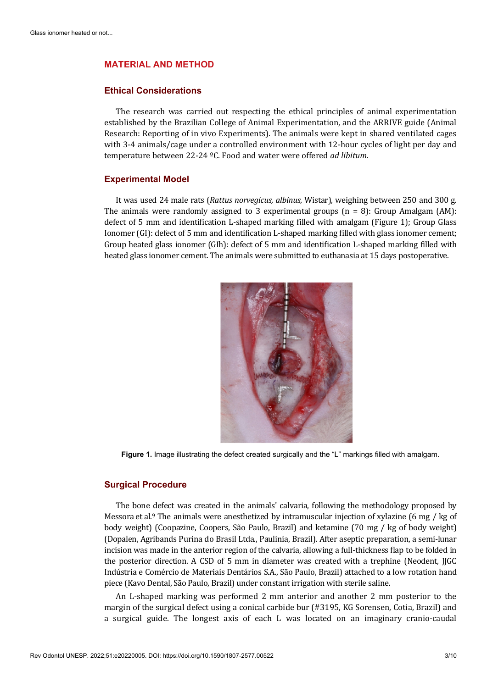#### **MATERIAL AND METHOD**

#### **Ethical Considerations**

The research was carried out respecting the ethical principles of animal experimentation established by the Brazilian College of Animal Experimentation, and the ARRIVE guide (Animal Research: Reporting of in vivo Experiments). The animals were kept in shared ventilated cages with 3-4 animals/cage under a controlled environment with 12-hour cycles of light per day and temperature between 22-24 ºC. Food and water were offered *ad libitum*.

#### **Experimental Model**

It was used 24 male rats (*Rattus norvegicus, albinus*, Wistar), weighing between 250 and 300 g. The animals were randomly assigned to 3 experimental groups  $(n = 8)$ : Group Amalgam  $(AM)$ : defect of 5 mm and identification L-shaped marking filled with amalgam (Figure 1); Group Glass Ionomer (GI): defect of 5 mm and identification L-shaped marking filled with glass ionomer cement; Group heated glass ionomer (GIh): defect of 5 mm and identification L-shaped marking filled with heated glass ionomer cement. The animals were submitted to euthanasia at 15 days postoperative.



**Figure 1.** Image illustrating the defect created surgically and the "L" markings filled with amalgam.

#### **Surgical Procedure**

The bone defect was created in the animals' calvaria, following the methodology proposed by Messora et al.9 The animals were anesthetized by intramuscular injection of xylazine (6 mg / kg of body weight) (Coopazine, Coopers, São Paulo, Brazil) and ketamine (70 mg / kg of body weight) (Dopalen, Agribands Purina do Brasil Ltda., Paulinia, Brazil). After aseptic preparation, a semi-lunar incision was made in the anterior region of the calvaria, allowing a full-thickness flap to be folded in the posterior direction. A CSD of 5 mm in diameter was created with a trephine (Neodent, JJGC Indústria e Comércio de Materiais Dentários S.A., São Paulo, Brazil) attached to a low rotation hand piece (Kavo Dental, São Paulo, Brazil) under constant irrigation with sterile saline.

An L-shaped marking was performed 2 mm anterior and another 2 mm posterior to the margin of the surgical defect using a conical carbide bur (#3195, KG Sorensen, Cotia, Brazil) and a surgical guide. The longest axis of each L was located on an imaginary cranio-caudal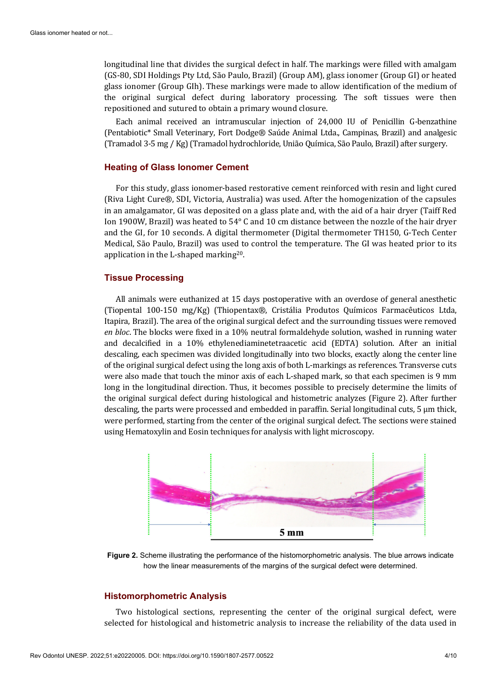longitudinal line that divides the surgical defect in half. The markings were filled with amalgam (GS-80, SDI Holdings Pty Ltd, São Paulo, Brazil) (Group AM), glass ionomer (Group GI) or heated glass ionomer (Group GIh). These markings were made to allow identification of the medium of the original surgical defect during laboratory processing. The soft tissues were then repositioned and sutured to obtain a primary wound closure.

Each animal received an intramuscular injection of 24,000 IU of Penicillin G-benzathine (Pentabiotic\* Small Veterinary, Fort Dodge® Saúde Animal Ltda., Campinas, Brazil) and analgesic (Tramadol 3-5 mg / Kg) (Tramadol hydrochloride, União Química, São Paulo, Brazil) after surgery.

#### **Heating of Glass Ionomer Cement**

For this study, glass ionomer-based restorative cement reinforced with resin and light cured (Riva Light Cure®, SDI, Victoria, Australia) was used. After the homogenization of the capsules in an amalgamator, GI was deposited on a glass plate and, with the aid of a hair dryer (Taiff Red Ion 1900W, Brazil) was heated to 54° C and 10 cm distance between the nozzle of the hair dryer and the GI, for 10 seconds. A digital thermometer (Digital thermometer TH150, G-Tech Center Medical, São Paulo, Brazil) was used to control the temperature. The GI was heated prior to its application in the L-shaped marking20.

#### **Tissue Processing**

All animals were euthanized at 15 days postoperative with an overdose of general anesthetic (Tiopental 100-150 mg/Kg) (Thiopentax®, Cristália Produtos Químicos Farmacêuticos Ltda, Itapira, Brazil). The area of the original surgical defect and the surrounding tissues were removed *en bloc*. The blocks were fixed in a 10% neutral formaldehyde solution, washed in running water and decalcified in a 10% ethylenediaminetetraacetic acid (EDTA) solution. After an initial descaling, each specimen was divided longitudinally into two blocks, exactly along the center line of the original surgical defect using the long axis of both L-markings as references. Transverse cuts were also made that touch the minor axis of each L-shaped mark, so that each specimen is 9 mm long in the longitudinal direction. Thus, it becomes possible to precisely determine the limits of the original surgical defect during histological and histometric analyzes (Figure 2). After further descaling, the parts were processed and embedded in paraffin. Serial longitudinal cuts,  $5 \mu m$  thick, were performed, starting from the center of the original surgical defect. The sections were stained using Hematoxylin and Eosin techniques for analysis with light microscopy.



**Figure 2.** Scheme illustrating the performance of the histomorphometric analysis. The blue arrows indicate how the linear measurements of the margins of the surgical defect were determined.

#### **Histomorphometric Analysis**

Two histological sections, representing the center of the original surgical defect, were selected for histological and histometric analysis to increase the reliability of the data used in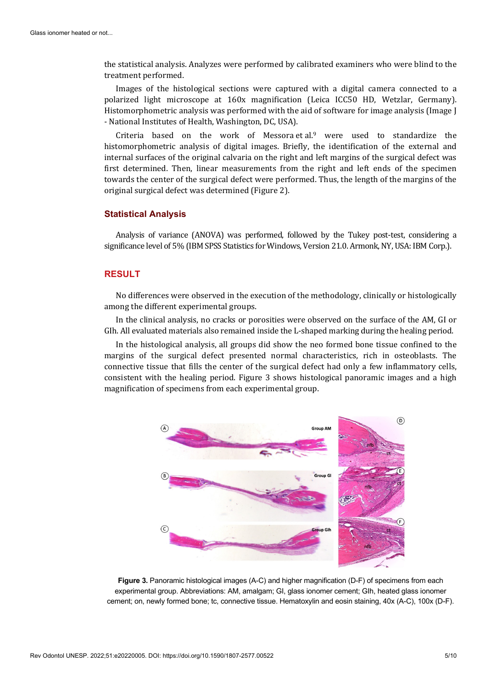the statistical analysis. Analyzes were performed by calibrated examiners who were blind to the treatment performed.

Images of the histological sections were captured with a digital camera connected to a polarized light microscope at 160x magnification (Leica ICC50 HD, Wetzlar, Germany). Histomorphometric analysis was performed with the aid of software for image analysis (Image J - National Institutes of Health, Washington, DC, USA).

Criteria based on the work of Messora et al.9 were used to standardize the histomorphometric analysis of digital images. Briefly, the identification of the external and internal surfaces of the original calvaria on the right and left margins of the surgical defect was first determined. Then, linear measurements from the right and left ends of the specimen towards the center of the surgical defect were performed. Thus, the length of the margins of the original surgical defect was determined (Figure 2).

#### **Statistical Analysis**

Analysis of variance (ANOVA) was performed, followed by the Tukey post-test, considering a significance level of 5% (IBM SPSS Statistics for Windows, Version 21.0. Armonk, NY, USA: IBM Corp.).

#### **RESULT**

No differences were observed in the execution of the methodology, clinically or histologically among the different experimental groups.

In the clinical analysis, no cracks or porosities were observed on the surface of the AM, GI or GIh. All evaluated materials also remained inside the L-shaped marking during the healing period.

In the histological analysis, all groups did show the neo formed bone tissue confined to the margins of the surgical defect presented normal characteristics, rich in osteoblasts. The connective tissue that fills the center of the surgical defect had only a few inflammatory cells, consistent with the healing period. Figure 3 shows histological panoramic images and a high magnification of specimens from each experimental group.



**Figure 3.** Panoramic histological images (A-C) and higher magnification (D-F) of specimens from each experimental group. Abbreviations: AM, amalgam; GI, glass ionomer cement; GIh, heated glass ionomer cement; on, newly formed bone; tc, connective tissue. Hematoxylin and eosin staining, 40x (A-C), 100x (D-F).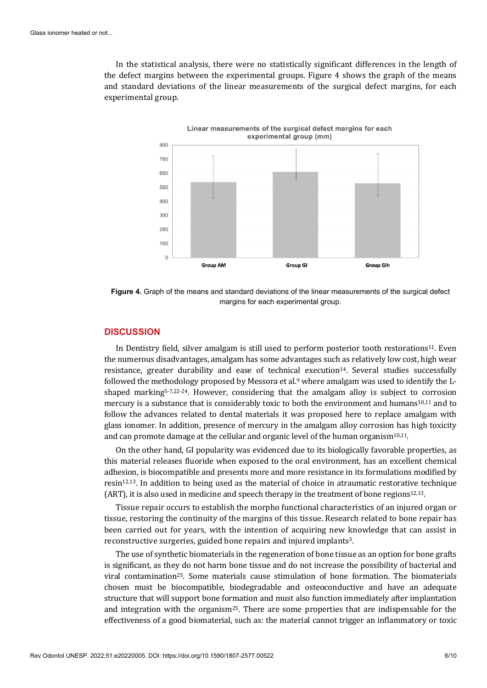In the statistical analysis, there were no statistically significant differences in the length of the defect margins between the experimental groups. Figure 4 shows the graph of the means and standard deviations of the linear measurements of the surgical defect margins, for each experimental group.



**Figure 4.** Graph of the means and standard deviations of the linear measurements of the surgical defect margins for each experimental group.

#### **DISCUSSION**

In Dentistry field, silver amalgam is still used to perform posterior tooth restorations<sup>11</sup>. Even the numerous disadvantages, amalgam has some advantages such as relatively low cost, high wear resistance, greater durability and ease of technical execution<sup>14</sup>. Several studies successfully followed the methodology proposed by Messora et al.<sup>9</sup> where amalgam was used to identify the Lshaped marking5-7,22-24. However, considering that the amalgam alloy is subject to corrosion mercury is a substance that is considerably toxic to both the environment and humans<sup>10,11</sup> and to follow the advances related to dental materials it was proposed here to replace amalgam with glass ionomer. In addition, presence of mercury in the amalgam alloy corrosion has high toxicity and can promote damage at the cellular and organic level of the human organism10,11.

On the other hand, GI popularity was evidenced due to its biologically favorable properties, as this material releases fluoride when exposed to the oral environment, has an excellent chemical adhesion, is biocompatible and presents more and more resistance in its formulations modified by resin12,13. In addition to being used as the material of choice in atraumatic restorative technique (ART), it is also used in medicine and speech therapy in the treatment of bone regions<sup>12,13</sup>.

Tissue repair occurs to establish the morpho functional characteristics of an injured organ or tissue, restoring the continuity of the margins of this tissue. Research related to bone repair has been carried out for years, with the intention of acquiring new knowledge that can assist in reconstructive surgeries, guided bone repairs and injured implants3.

The use of synthetic biomaterials in the regeneration of bone tissue as an option for bone grafts is significant, as they do not harm bone tissue and do not increase the possibility of bacterial and viral contamination<sup>25</sup>. Some materials cause stimulation of bone formation. The biomaterials chosen must be biocompatible, biodegradable and osteoconductive and have an adequate structure that will support bone formation and must also function immediately after implantation and integration with the organism<sup>25</sup>. There are some properties that are indispensable for the effectiveness of a good biomaterial, such as: the material cannot trigger an inflammatory or toxic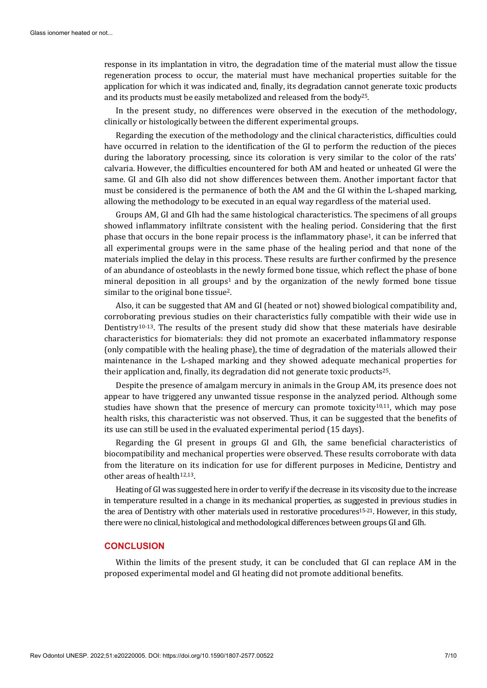response in its implantation in vitro, the degradation time of the material must allow the tissue regeneration process to occur, the material must have mechanical properties suitable for the application for which it was indicated and, finally, its degradation cannot generate toxic products and its products must be easily metabolized and released from the body25.

In the present study, no differences were observed in the execution of the methodology, clinically or histologically between the different experimental groups.

Regarding the execution of the methodology and the clinical characteristics, difficulties could have occurred in relation to the identification of the GI to perform the reduction of the pieces during the laboratory processing, since its coloration is very similar to the color of the rats' calvaria. However, the difficulties encountered for both AM and heated or unheated GI were the same. GI and GIh also did not show differences between them. Another important factor that must be considered is the permanence of both the AM and the GI within the L-shaped marking, allowing the methodology to be executed in an equal way regardless of the material used.

Groups AM, GI and GIh had the same histological characteristics. The specimens of all groups showed inflammatory infiltrate consistent with the healing period. Considering that the first phase that occurs in the bone repair process is the inflammatory phase1, it can be inferred that all experimental groups were in the same phase of the healing period and that none of the materials implied the delay in this process. These results are further confirmed by the presence of an abundance of osteoblasts in the newly formed bone tissue, which reflect the phase of bone mineral deposition in all groups<sup>1</sup> and by the organization of the newly formed bone tissue similar to the original bone tissue2.

Also, it can be suggested that AM and GI (heated or not) showed biological compatibility and, corroborating previous studies on their characteristics fully compatible with their wide use in Dentistry<sup>10-13</sup>. The results of the present study did show that these materials have desirable characteristics for biomaterials: they did not promote an exacerbated inflammatory response (only compatible with the healing phase), the time of degradation of the materials allowed their maintenance in the L-shaped marking and they showed adequate mechanical properties for their application and, finally, its degradation did not generate toxic products<sup>25</sup>.

Despite the presence of amalgam mercury in animals in the Group AM, its presence does not appear to have triggered any unwanted tissue response in the analyzed period. Although some studies have shown that the presence of mercury can promote toxicity<sup>10,11</sup>, which may pose health risks, this characteristic was not observed. Thus, it can be suggested that the benefits of its use can still be used in the evaluated experimental period (15 days).

Regarding the GI present in groups GI and GIh, the same beneficial characteristics of biocompatibility and mechanical properties were observed. These results corroborate with data from the literature on its indication for use for different purposes in Medicine, Dentistry and other areas of health<sup>12,13</sup>.

Heating of GI was suggested here in order to verify if the decrease in its viscosity due to the increase in temperature resulted in a change in its mechanical properties, as suggested in previous studies in the area of Dentistry with other materials used in restorative procedures<sup>15-21</sup>. However, in this study, there were no clinical, histological and methodological differences between groups GI and GIh.

#### **CONCLUSION**

Within the limits of the present study, it can be concluded that GI can replace AM in the proposed experimental model and GI heating did not promote additional benefits.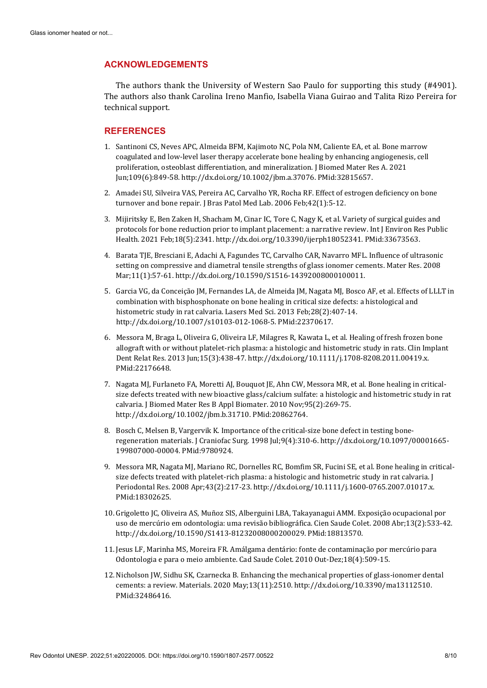#### **ACKNOWLEDGEMENTS**

The authors thank the University of Western Sao Paulo for supporting this study (#4901). The authors also thank Carolina Ireno Manfio, Isabella Viana Guirao and Talita Rizo Pereira for technical support.

#### **REFERENCES**

- 1. Santinoni CS, Neves APC, Almeida BFM, Kajimoto NC, Pola NM, Caliente EA, et al. Bone marrow coagulated and low-level laser therapy accelerate bone healing by enhancing angiogenesis, cell proliferation, osteoblast differentiation, and mineralization. J Biomed Mater Res A. 2021 Jun;109(6):849-58[. http://dx.doi.org/10.1002/jbm.a.37076.](https://doi.org/10.1002/jbm.a.37076) [PMid:32815657.](https://www.ncbi.nlm.nih.gov/entrez/query.fcgi?cmd=Retrieve&db=PubMed&list_uids=32815657&dopt=Abstract)
- 2. Amadei SU, Silveira VAS, Pereira AC, Carvalho YR, Rocha RF. Effect of estrogen deficiency on bone turnover and bone repair. J Bras Patol Med Lab. 2006 Feb;42(1):5-12.
- 3. Mijiritsky E, Ben Zaken H, Shacham M, Cinar IC, Tore C, Nagy K, et al. Variety of surgical guides and protocols for bone reduction prior to implant placement: a narrative review. Int J Environ Res Public Health. 2021 Feb;18(5):2341. [http://dx.doi.org/10.3390/ijerph18052341.](https://doi.org/10.3390/ijerph18052341) [PMid:33673563.](https://www.ncbi.nlm.nih.gov/entrez/query.fcgi?cmd=Retrieve&db=PubMed&list_uids=33673563&dopt=Abstract)
- 4. Barata TJE, Bresciani E, Adachi A, Fagundes TC, Carvalho CAR, Navarro MFL. Influence of ultrasonic setting on compressive and diametral tensile strengths of glass ionomer cements. Mater Res. 2008 Mar;11(1):57-61[. http://dx.doi.org/10.1590/S1516-14392008000100011.](https://doi.org/10.1590/S1516-14392008000100011)
- 5. Garcia VG, da Conceição JM, Fernandes LA, de Almeida JM, Nagata MJ, Bosco AF, et al. Effects of LLLT in combination with bisphosphonate on bone healing in critical size defects: a histological and histometric study in rat calvaria. Lasers Med Sci. 2013 Feb;28(2):407-14. [http://dx.doi.org/10.1007/s10103-012-1068-5.](https://doi.org/10.1007/s10103-012-1068-5) [PMid:22370617.](https://www.ncbi.nlm.nih.gov/entrez/query.fcgi?cmd=Retrieve&db=PubMed&list_uids=22370617&dopt=Abstract)
- 6. Messora M, Braga L, Oliveira G, Oliveira LF, Milagres R, Kawata L, et al. Healing of fresh frozen bone allograft with or without platelet-rich plasma: a histologic and histometric study in rats. Clin I[mplant](https://www.ncbi.nlm.nih.gov/entrez/query.fcgi?cmd=Retrieve&db=PubMed&list_uids=22176648&dopt=Abstract)  Dent Relat Res. 2013 Jun;15(3):438-47[. http://dx.doi.org/10.1111/j.1708-8208.2011.00419.x.](https://doi.org/10.1111/j.1708-8208.2011.00419.x) [PMid:22176648.](https://www.ncbi.nlm.nih.gov/entrez/query.fcgi?cmd=Retrieve&db=PubMed&list_uids=22176648&dopt=Abstract)
- 7. Nagata MJ, Furlaneto FA, Moretti AJ, Bouquot JE, Ahn CW, Messora MR, et al. Bone healing in criticalsize defects treated with new bioactive glass/calcium sulfate: a histologic and histometric study in rat calvaria. J Biomed Mater Res B Appl Biomater. 2010 Nov;95(2):269-75. [http://dx.doi.org/10.1002/jbm.b.31710.](https://doi.org/10.1002/jbm.b.31710) [PMid:20862764.](https://www.ncbi.nlm.nih.gov/entrez/query.fcgi?cmd=Retrieve&db=PubMed&list_uids=20862764&dopt=Abstract)
- 8. Bosch C, Melsen B, Vargervik K. Importance of the critical-size bone defect in testing boneregeneration materials. J Craniofac Surg. 1998 Jul;9(4):310-6. [http://dx.doi.org/10.1097/00001665-](https://doi.org/10.1097/00001665-199807000-00004) [199807000-00004.](https://doi.org/10.1097/00001665-199807000-00004) [PMid:9780924.](https://www.ncbi.nlm.nih.gov/entrez/query.fcgi?cmd=Retrieve&db=PubMed&list_uids=9780924&dopt=Abstract)
- 9. Messora MR, Nagata MJ, Mariano RC, Dornelles RC, Bomfim SR, Fucini SE, et al. Bone healing in criticalsize defects treated with platelet-rich plasma: a histologic and histometric study in rat calvaria. J Periodontal Res. 2008 Apr;43(2):217-23[. http://dx.doi.org/10.1111/j.1600-0765.2007.01017.x.](https://doi.org/10.1111/j.1600-0765.2007.01017.x) [PMid:18302625.](https://www.ncbi.nlm.nih.gov/entrez/query.fcgi?cmd=Retrieve&db=PubMed&list_uids=18302625&dopt=Abstract)
- 10. Grigoletto JC, Oliveira AS, Muñoz SIS, Alberguini LBA, Takayanagui AMM. Exposição ocupacional por uso de mercúrio em odontologia: uma revisão bibliográfica. Cien Saude Colet. 2008 Abr;13(2):533-42. [http://dx.doi.org/10.1590/S1413-81232008000200029.](https://doi.org/10.1590/S1413-81232008000200029) [PMid:18813570.](https://www.ncbi.nlm.nih.gov/entrez/query.fcgi?cmd=Retrieve&db=PubMed&list_uids=18813570&dopt=Abstract)
- 11. Jesus LF, Marinha MS, Moreira FR. Amálgama dentário: fonte de contaminação por mercúrio para Odontologia e para o meio ambiente. Cad Saude Colet. 2010 Out-Dez;18(4):509-15.
- 12. Nicholson JW, Sidhu SK, Czarnecka B. Enhancing the mechanical properties of glass-ionomer d[ental](https://www.ncbi.nlm.nih.gov/entrez/query.fcgi?cmd=Retrieve&db=PubMed&list_uids=32486416&dopt=Abstract)  cements: a review. Materials. 2020 May;13(11):2510[. http://dx.doi.org/10.3390/ma13112510.](https://doi.org/10.3390/ma13112510) [PMid:32486416.](https://www.ncbi.nlm.nih.gov/entrez/query.fcgi?cmd=Retrieve&db=PubMed&list_uids=32486416&dopt=Abstract)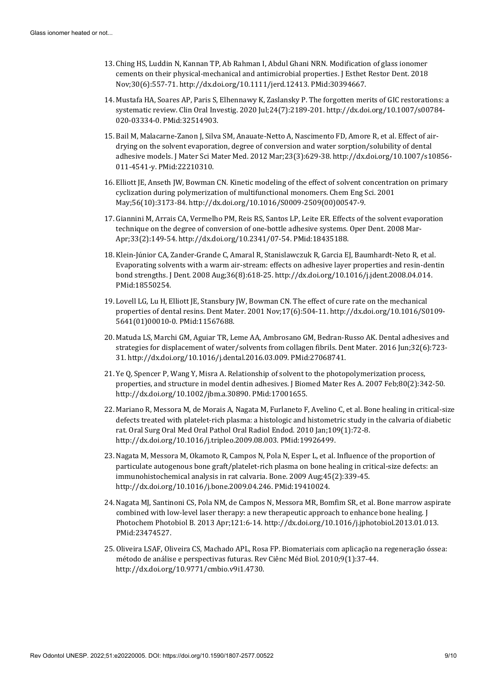- 13. Ching HS, Luddin N, Kannan TP, Ab Rahman I, Abdul Ghani NRN. Modification of glass ionomer cements on their physical-mechanical and antimicrobial properties. J Esthet Restor Dent. 2018 Nov;30(6):557-71[. http://dx.doi.org/10.1111/jerd.12413.](https://doi.org/10.1111/jerd.12413) [PMid:30394667.](https://www.ncbi.nlm.nih.gov/entrez/query.fcgi?cmd=Retrieve&db=PubMed&list_uids=30394667&dopt=Abstract)
- 14. Mustafa HA, Soares AP, Paris S, Elhennawy K, Zaslansky P. The forgotten merits of GIC restorations: a systematic review. Clin Oral Investig. 2020 Jul;24(7):2189-201[. http://dx.doi.org/10.1007/s00784-](https://doi.org/10.1007/s00784-020-03334-0) [020-03334-0.](https://doi.org/10.1007/s00784-020-03334-0) [PMid:32514903.](https://www.ncbi.nlm.nih.gov/entrez/query.fcgi?cmd=Retrieve&db=PubMed&list_uids=32514903&dopt=Abstract)
- 15. Bail M, Malacarne-Zanon J, Silva SM, Anauate-Netto A, Nascimento FD, Amore R, et al. Effect of airdrying on the solvent evaporation, degree of conversion and water sorption/solubility of dental adhesive models. J Mater Sci Mater Med. 2012 Mar;23(3):629-38[. http://dx.doi.org/10.1007/s10856-](https://doi.org/10.1007/s10856-011-4541-y) [011-4541-y.](https://doi.org/10.1007/s10856-011-4541-y) [PMid:22210310.](https://www.ncbi.nlm.nih.gov/entrez/query.fcgi?cmd=Retrieve&db=PubMed&list_uids=22210310&dopt=Abstract)
- 16. Elliott JE, Anseth JW, Bowman CN. Kinetic modeling of the effect of solvent concentration on primary cyclization during polymerization of multifunctional monomers. Chem Eng Sci. 2001 May;56(10):3173-84[. http://dx.doi.org/10.1016/S0009-2509\(00\)00547-9.](https://doi.org/10.1016/S0009-2509(00)00547-9)
- 17. Giannini M, Arrais CA, Vermelho PM, Reis RS, Santos LP, Leite ER. Effects of the solvent evaporation technique on the degree of conversion of one-bottle adhesive systems. Oper Dent. 2008 Mar-Apr;33(2):149-54[. http://dx.doi.org/10.2341/07-54.](https://doi.org/10.2341/07-54) [PMid:18435188.](https://www.ncbi.nlm.nih.gov/entrez/query.fcgi?cmd=Retrieve&db=PubMed&list_uids=18435188&dopt=Abstract)
- 18. Klein-Júnior CA, Zander-Grande C, Amaral R, Stanislawczuk R, Garcia EJ, Baumhardt-Neto R, et al. Evaporating solvents with a warm air-stream: effects on adhesive layer properties and resin-d[entin](https://www.ncbi.nlm.nih.gov/entrez/query.fcgi?cmd=Retrieve&db=PubMed&list_uids=18550254&dopt=Abstract)  bond strengths. J Dent. 2008 Aug;36(8):618-25[. http://dx.doi.org/10.1016/j.jdent.2008.04.014.](https://doi.org/10.1016/j.jdent.2008.04.014) [PMid:18550254.](https://www.ncbi.nlm.nih.gov/entrez/query.fcgi?cmd=Retrieve&db=PubMed&list_uids=18550254&dopt=Abstract)
- 19. Lovell LG, Lu H, Elliott JE, Stansbury JW, Bowman CN. The effect of cure rate on the mechanical properties of dental resins. Dent Mater. 2001 Nov;17(6):504-11[. http://dx.doi.org/10.1016/S0109-](https://doi.org/10.1016/S0109-5641(01)00010-0) [5641\(01\)00010-0.](https://doi.org/10.1016/S0109-5641(01)00010-0) [PMid:11567688.](https://www.ncbi.nlm.nih.gov/entrez/query.fcgi?cmd=Retrieve&db=PubMed&list_uids=11567688&dopt=Abstract)
- 20. Matuda LS, Marchi GM, Aguiar TR, Leme AA, Ambrosano GM, Bedran-Russo AK. Dental adhesives and strategies for displacement of water/solvents from collagen fibrils. Dent Mater. 2016 Jun;32(6):723- 31[. http://dx.doi.org/10.1016/j.dental.2016.03.009.](https://doi.org/10.1016/j.dental.2016.03.009) [PMid:27068741.](https://www.ncbi.nlm.nih.gov/entrez/query.fcgi?cmd=Retrieve&db=PubMed&list_uids=27068741&dopt=Abstract)
- 21. Ye Q, Spencer P, Wang Y, Misra A. Relationship of solvent to the photopolymerization process, properties, and structure in model dentin adhesives. J Biomed Mater Res A. 2007 Feb;80(2):342-50. [http://dx.doi.org/10.1002/jbm.a.30890.](https://doi.org/10.1002/jbm.a.30890) [PMid:17001655.](https://www.ncbi.nlm.nih.gov/entrez/query.fcgi?cmd=Retrieve&db=PubMed&list_uids=17001655&dopt=Abstract)
- 22. Mariano R, Messora M, de Morais A, Nagata M, Furlaneto F, Avelino C, et al. Bone healing in critical-size defects treated with platelet-rich plasma: a histologic and histometric study in the calvaria of diabetic rat. Oral Surg Oral Med Oral Pathol Oral Radiol Endod. 2010 Jan;109(1):72-8. [http://dx.doi.org/10.1016/j.tripleo.2009.08.003.](https://doi.org/10.1016/j.tripleo.2009.08.003) [PMid:19926499.](https://www.ncbi.nlm.nih.gov/entrez/query.fcgi?cmd=Retrieve&db=PubMed&list_uids=19926499&dopt=Abstract)
- 23. Nagata M, Messora M, Okamoto R, Campos N, Pola N, Esper L, et al. Influence of the proportion of particulate autogenous bone graft/platelet-rich plasma on bone healing in critical-size defects: an immunohistochemical analysis in rat calvaria. Bone. 2009 Aug;45(2):339-45. [http://dx.doi.org/10.1016/j.bone.2009.04.246.](https://doi.org/10.1016/j.bone.2009.04.246) [PMid:19410024.](https://www.ncbi.nlm.nih.gov/entrez/query.fcgi?cmd=Retrieve&db=PubMed&list_uids=19410024&dopt=Abstract)
- 24. Nagata MJ, Santinoni CS, Pola NM, de Campos N, Messora MR, Bomfim SR, et al. Bone marrow aspirate combined with low-level laser therapy: a new therapeutic approach to enhance bone healing. J Photochem Photobiol B. 2013 Apr;121:6-14[. http://dx.doi.org/10.1016/j.jphotobiol.2013.01.013.](https://doi.org/10.1016/j.jphotobiol.2013.01.013) [PMid:23474527.](https://www.ncbi.nlm.nih.gov/entrez/query.fcgi?cmd=Retrieve&db=PubMed&list_uids=23474527&dopt=Abstract)
- 25. Oliveira LSAF, Oliveira CS, Machado APL, Rosa FP. Biomateriais com aplicação na regeneração óssea: método de análise e perspectivas futuras. Rev Ciênc Méd Biol. 2010;9(1):37-44. [http://dx.doi.org/10.9771/cmbio.v9i1.4730.](https://doi.org/10.9771/cmbio.v9i1.4730)